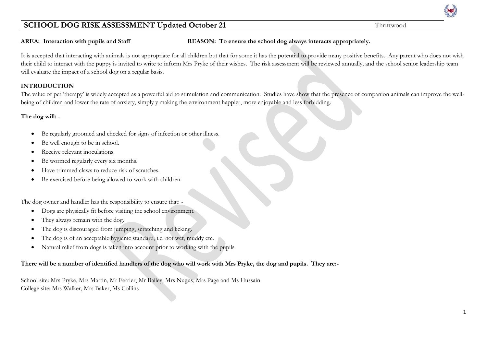**AREA: Interaction with pupils and Staff REASON: To ensure the school dog always interacts appropriately.**

It is accepted that interacting with animals is not appropriate for all children but that for some it has the potential to provide many positive benefits. Any parent who does not wish their child to interact with the puppy is invited to write to inform Mrs Pryke of their wishes. The risk assessment will be reviewed annually, and the school senior leadership team will evaluate the impact of a school dog on a regular basis.

#### **INTRODUCTION**

The value of pet 'therapy' is widely accepted as a powerful aid to stimulation and communication. Studies have show that the presence of companion animals can improve the wellbeing of children and lower the rate of anxiety, simply y making the environment happier, more enjoyable and less forbidding.

#### **The dog will: -**

- Be regularly groomed and checked for signs of infection or other illness.
- Be well enough to be in school.
- Receive relevant inoculations.
- Be wormed regularly every six months.
- Have trimmed claws to reduce risk of scratches.
- Be exercised before being allowed to work with children.

The dog owner and handler has the responsibility to ensure that: -

- Dogs are physically fit before visiting the school environment.
- They always remain with the dog.
- The dog is discouraged from jumping, scratching and licking.
- The dog is of an acceptable hygienic standard, i.e. not wet, muddy etc.
- Natural relief from dogs is taken into account prior to working with the pupils

### **There will be a number of identified handlers of the dog who will work with Mrs Pryke, the dog and pupils. They are:-**

School site: Mrs Pryke, Mrs Martin, Mr Ferrier, Mr Bailey, Mrs Nugus, Mrs Page and Ms Hussain College site: Mrs Walker, Mrs Baker, Ms Collins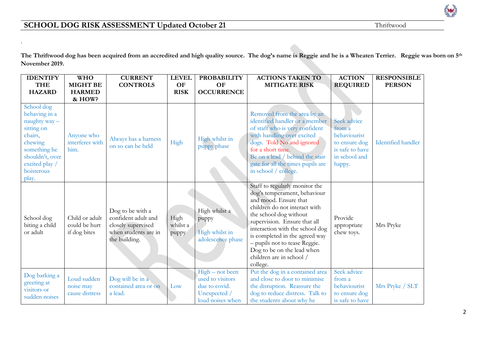.

**The Thriftwood dog has been acquired from an accredited and high quality source. The dog's name is Reggie and he is a Wheaten Terrier. Reggie was born on 5th November 2019.**

| <b>IDENTIFY</b>                                                                                                                                             | <b>WHO</b>                                      | <b>CURRENT</b>                                                                                         | <b>LEVEL</b>              | <b>PROBABILITY</b>                                                                       | <b>ACTIONS TAKEN TO</b>                                                                                                                                                                                                                                                                                                                                        | <b>ACTION</b>                                                                                        | <b>RESPONSIBLE</b>        |
|-------------------------------------------------------------------------------------------------------------------------------------------------------------|-------------------------------------------------|--------------------------------------------------------------------------------------------------------|---------------------------|------------------------------------------------------------------------------------------|----------------------------------------------------------------------------------------------------------------------------------------------------------------------------------------------------------------------------------------------------------------------------------------------------------------------------------------------------------------|------------------------------------------------------------------------------------------------------|---------------------------|
| <b>THE</b>                                                                                                                                                  | <b>MIGHT BE</b>                                 | <b>CONTROLS</b>                                                                                        | <b>OF</b>                 | OF                                                                                       | <b>MITIGATE RISK</b>                                                                                                                                                                                                                                                                                                                                           | <b>REQUIRED</b>                                                                                      | <b>PERSON</b>             |
| <b>HAZARD</b>                                                                                                                                               | <b>HARMED</b>                                   |                                                                                                        | <b>RISK</b>               | <b>OCCURRENCE</b>                                                                        |                                                                                                                                                                                                                                                                                                                                                                |                                                                                                      |                           |
|                                                                                                                                                             | & HOW?                                          |                                                                                                        |                           |                                                                                          |                                                                                                                                                                                                                                                                                                                                                                |                                                                                                      |                           |
| School dog<br>behaving in a<br>naughty way-<br>sitting on<br>chairs,<br>chewing<br>something he<br>shouldn't, over<br>excited play /<br>boisterous<br>play. | Anyone who<br>interferes with<br>him.           | Always has a harness<br>on so can be held                                                              | High                      | High whilst in<br>puppy phase                                                            | Removed from the area by an<br>identified handler or a member<br>of staff who is very confident<br>with handling over excited<br>dogs. Told No and ignored<br>for a short time.<br>Be on a lead / behind the stair<br>gate for all the times pupils are<br>in school / college.                                                                                | Seek advice<br>from a<br>behaviourist<br>to ensure dog<br>is safe to have<br>in school and<br>happy. | <b>Identified handler</b> |
| School dog<br>biting a child<br>or adult                                                                                                                    | Child or adult<br>could be hurt<br>if dog bites | Dog to be with a<br>confident adult and<br>closely supervised<br>when students are in<br>the building. | High<br>whilst a<br>puppy | High whilst a<br>puppy<br>High whilst in<br>adolescence phase                            | Staff to regularly monitor the<br>dog's temperament, behaviour<br>and mood. Ensure that<br>children do not interact with<br>the school dog without<br>supervision. Ensure that all<br>interaction with the school dog<br>is completed in the agreed way<br>- pupils not to tease Reggie.<br>Dog to be on the lead when<br>children are in school /<br>college. | Provide<br>appropriate<br>chew toys.                                                                 | Mrs Pryke                 |
| Dog barking a<br>greeting at<br>visitors or<br>sudden noises                                                                                                | Loud sudden<br>noise may<br>cause distress      | Dog will be in a<br>contained area or on<br>a lead.                                                    | Low                       | High – not been<br>used to visitors<br>due to covid.<br>Unexpected /<br>loud noises when | Put the dog in a contained area<br>and close to door to minimise<br>the disruption. Reassure the<br>dog to reduce distress. Talk to<br>the students about why he                                                                                                                                                                                               | Seek advice<br>from a<br>behaviourist<br>to ensure dog<br>is safe to have                            | Mrs Pryke / SLT           |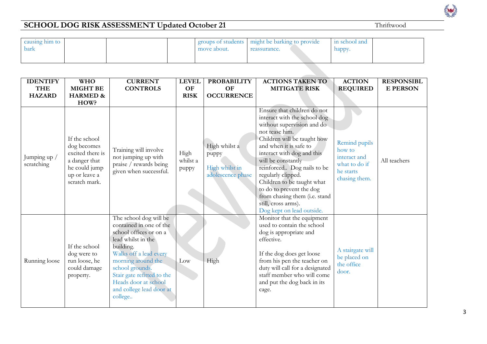3

| causing him to<br>bark |  | move about. | groups of students might be barking to provide<br>reassurance. | in school and<br>happy. |  |
|------------------------|--|-------------|----------------------------------------------------------------|-------------------------|--|
|------------------------|--|-------------|----------------------------------------------------------------|-------------------------|--|

| <b>IDENTIFY</b>             | <b>WHO</b>                                                                                                                   | <b>CURRENT</b>                                                                                                                                                                                                                                                                 | <b>LEVEL</b>              | <b>PROBABILITY</b>                                            | <b>ACTIONS TAKEN TO</b>                                                                                                                                                                                                                                                                                                                                                                                                     | <b>ACTION</b>                                                                          | <b>RESPONSIBL</b> |
|-----------------------------|------------------------------------------------------------------------------------------------------------------------------|--------------------------------------------------------------------------------------------------------------------------------------------------------------------------------------------------------------------------------------------------------------------------------|---------------------------|---------------------------------------------------------------|-----------------------------------------------------------------------------------------------------------------------------------------------------------------------------------------------------------------------------------------------------------------------------------------------------------------------------------------------------------------------------------------------------------------------------|----------------------------------------------------------------------------------------|-------------------|
| <b>THE</b><br><b>HAZARD</b> | <b>MIGHT BE</b><br><b>HARMED &amp;</b>                                                                                       | <b>CONTROLS</b>                                                                                                                                                                                                                                                                | OF<br><b>RISK</b>         | OF<br><b>OCCURRENCE</b>                                       | <b>MITIGATE RISK</b>                                                                                                                                                                                                                                                                                                                                                                                                        | <b>REQUIRED</b>                                                                        | <b>E PERSON</b>   |
| Jumping up /<br>scratching  | HOW?<br>If the school<br>dog becomes<br>excited there is<br>a danger that<br>he could jump<br>up or leave a<br>scratch mark. | Training will involve<br>not jumping up with<br>praise / rewards being<br>given when successful.                                                                                                                                                                               | High<br>whilst a<br>puppy | High whilst a<br>puppy<br>High whilst in<br>adolescence phase | Ensure that children do not<br>interact with the school dog<br>without supervision and do<br>not tease him.<br>Children will be taught how<br>and when it is safe to<br>interact with dog and this<br>will be constantly<br>reinforced Dog nails to be<br>regularly clipped.<br>Children to be taught what<br>to do to prevent the dog<br>from chasing them (i.e. stand<br>still, cross arms).<br>Dog kept on lead outside. | Remind pupils<br>how to<br>interact and<br>what to do if<br>he starts<br>chasing them. | All teachers      |
| Running loose               | If the school<br>dog were to<br>run loose, he<br>could damage<br>property.                                                   | The school dog will be<br>contained in one of the<br>school offices or on a<br>lead whilst in the<br>building.<br>Walks off a lead every<br>morning around the<br>school grounds.<br>Stair gate refitted to the<br>Heads door at school<br>and college lead door at<br>college | Low                       | High                                                          | Monitor that the equipment<br>used to contain the school<br>dog is appropriate and<br>effective.<br>If the dog does get loose<br>from his pen the teacher on<br>duty will call for a designated<br>staff member who will come<br>and put the dog back in its<br>cage.                                                                                                                                                       | A stairgate will<br>be placed on<br>the office<br>door.                                |                   |

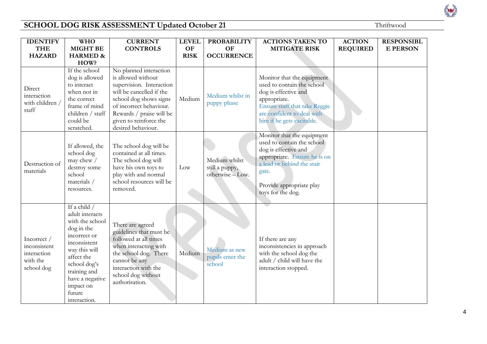| <b>IDENTIFY</b>                                                      | <b>WHO</b>                                                                                                                                                                                                                  | <b>CURRENT</b>                                                                                                                                                                                                                        | <b>LEVEL</b>      | <b>PROBABILITY</b>                                  | <b>ACTIONS TAKEN TO</b>                                                                                                                                                                                  | <b>ACTION</b>   | <b>RESPONSIBL</b> |
|----------------------------------------------------------------------|-----------------------------------------------------------------------------------------------------------------------------------------------------------------------------------------------------------------------------|---------------------------------------------------------------------------------------------------------------------------------------------------------------------------------------------------------------------------------------|-------------------|-----------------------------------------------------|----------------------------------------------------------------------------------------------------------------------------------------------------------------------------------------------------------|-----------------|-------------------|
| <b>THE</b><br><b>HAZARD</b>                                          | <b>MIGHT BE</b><br><b>HARMED &amp;</b>                                                                                                                                                                                      | <b>CONTROLS</b>                                                                                                                                                                                                                       | OF<br><b>RISK</b> | <b>OF</b><br><b>OCCURRENCE</b>                      | <b>MITIGATE RISK</b>                                                                                                                                                                                     | <b>REQUIRED</b> | <b>E PERSON</b>   |
|                                                                      | HOW?                                                                                                                                                                                                                        |                                                                                                                                                                                                                                       |                   |                                                     |                                                                                                                                                                                                          |                 |                   |
| Direct<br>interaction<br>with children /<br>staff                    | If the school<br>dog is allowed<br>to interact<br>when not in<br>the correct<br>frame of mind<br>children / staff<br>could be<br>scratched.                                                                                 | No planned interaction<br>is allowed without<br>supervision. Interaction<br>will be cancelled if the<br>school dog shows signs<br>of incorrect behaviour.<br>Rewards / praise will be<br>given to reinforce the<br>desired behaviour. | Medium            | Medium whilst in<br>puppy phase                     | Monitor that the equipment<br>used to contain the school<br>dog is effective and<br>appropriate.<br>Ensure staff that take Reggie<br>are confident to deal with<br>him if he gets excitable.             |                 |                   |
| Destruction of<br>materials                                          | If allowed, the<br>school dog<br>may chew /<br>destroy some<br>school<br>materials /<br>resources.                                                                                                                          | The school dog will be<br>contained at all times.<br>The school dog will<br>have his own toys to<br>play with and normal<br>school resources will be<br>removed.                                                                      | Low               | Medium whilst<br>still a puppy,<br>otherwise - Low. | Monitor that the equipment<br>used to contain the school<br>dog is effective and<br>appropriate. Ensure he is on<br>a lead or behind the stair<br>gate.<br>Provide appropriate play<br>toys for the dog. |                 |                   |
| Incorrect /<br>inconsistent<br>interaction<br>with the<br>school dog | If a child $/$<br>adult interacts<br>with the school<br>dog in the<br>incorrect or<br>inconsistent<br>way this will<br>affect the<br>school dog's<br>training and<br>have a negative<br>impact on<br>future<br>interaction. | There are agreed<br>guidelines that must be<br>followed at all times<br>when interacting with<br>the school dog. There<br>cannot be any<br>interaction with the<br>school dog without<br>authorisation.                               | Medium            | Medium as new<br>pupils enter the<br>school         | If there are any<br>inconsistencies in approach<br>with the school dog the<br>adult / child will have the<br>interaction stopped.                                                                        |                 |                   |

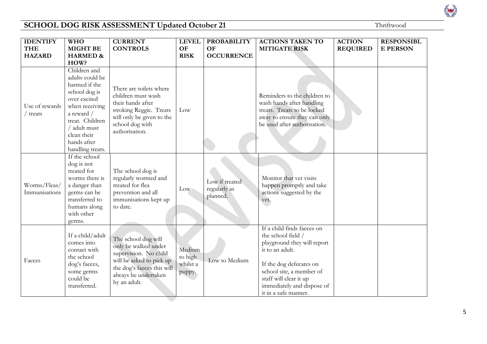| <b>IDENTIFY</b>               | <b>WHO</b>                                                                                                                                                                                             | <b>CURRENT</b>                                                                                                                                                         | <b>LEVEL</b>                            | <b>PROBABILITY</b>                         | <b>ACTIONS TAKEN TO</b>                                                                                                                                                                                                                   | <b>ACTION</b>   | <b>RESPONSIBL</b> |
|-------------------------------|--------------------------------------------------------------------------------------------------------------------------------------------------------------------------------------------------------|------------------------------------------------------------------------------------------------------------------------------------------------------------------------|-----------------------------------------|--------------------------------------------|-------------------------------------------------------------------------------------------------------------------------------------------------------------------------------------------------------------------------------------------|-----------------|-------------------|
| <b>THE</b>                    | <b>MIGHT BE</b>                                                                                                                                                                                        | <b>CONTROLS</b>                                                                                                                                                        | OF                                      | <b>OF</b>                                  | <b>MITIGATE RISK</b>                                                                                                                                                                                                                      | <b>REQUIRED</b> | <b>E PERSON</b>   |
| <b>HAZARD</b>                 | <b>HARMED &amp;</b><br>HOW?                                                                                                                                                                            |                                                                                                                                                                        | <b>RISK</b>                             | <b>OCCURRENCE</b>                          |                                                                                                                                                                                                                                           |                 |                   |
| Use of rewards<br>treats      | Children and<br>adults could be<br>harmed if the<br>school dog is<br>over excited<br>when receiving<br>a reward /<br>treat. Children<br>/ adult must<br>clean their<br>hands after<br>handling treats. | There are toilets where<br>children must wash<br>their hands after<br>stroking Reggie. Treats<br>will only be given to the<br>school dog with<br>authorisation.        | Low                                     |                                            | Reminders to the children to<br>wash hands after handling<br>treats. Treats to be locked<br>away to ensure they can only<br>be used after authorisation.                                                                                  |                 |                   |
| Worms/Fleas/<br>Immunisations | If the school<br>dog is not<br>treated for<br>worms there is<br>a danger than<br>germs can be<br>transferred to<br>humans along<br>with other<br>germs.                                                | The school dog is<br>regularly wormed and<br>treated for flea<br>prevention and all<br>immunisations kept up<br>to date.                                               | Low                                     | Low if treated<br>regularly as<br>planned. | Monitor that vet visits<br>happen promptly and take<br>actions suggested by the<br>vet.                                                                                                                                                   |                 |                   |
| Faeces                        | If a child/adult<br>comes into<br>contact with<br>the school<br>dog's faeces,<br>some germs<br>could be<br>transferred.                                                                                | The school dog will<br>only be walked under<br>supervision. No child<br>will be asked to pick up<br>the dog's faeces this will<br>always be undertaken<br>by an adult. | Medium<br>to high<br>whilst a<br>puppy. | Low to Medium                              | If a child finds faeces on<br>the school field /<br>playground they will report<br>it to an adult.<br>If the dog defecates on<br>school site, a member of<br>staff will clear it up<br>immediately and dispose of<br>it in a safe manner. |                 |                   |

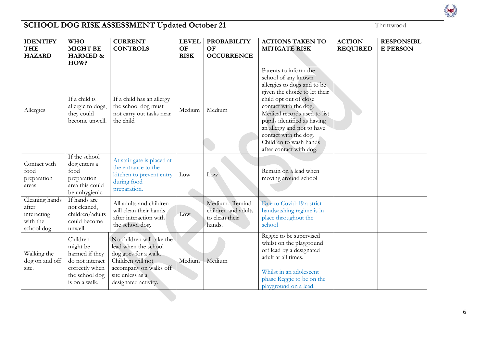| <b>IDENTIFY</b><br><b>THE</b><br><b>HAZARD</b>                   | <b>WHO</b><br><b>MIGHT BE</b><br><b>HARMED &amp;</b>                                                           | <b>CURRENT</b><br><b>CONTROLS</b>                                                                                                                                    | <b>LEVEL</b><br><b>OF</b><br><b>RISK</b> | <b>PROBABILITY</b><br><b>OF</b><br><b>OCCURRENCE</b>              | <b>ACTIONS TAKEN TO</b><br><b>MITIGATE RISK</b>                                                                                                                                                                                                                                                                   | <b>ACTION</b><br><b>REQUIRED</b> | <b>RESPONSIBL</b><br><b>E PERSON</b> |
|------------------------------------------------------------------|----------------------------------------------------------------------------------------------------------------|----------------------------------------------------------------------------------------------------------------------------------------------------------------------|------------------------------------------|-------------------------------------------------------------------|-------------------------------------------------------------------------------------------------------------------------------------------------------------------------------------------------------------------------------------------------------------------------------------------------------------------|----------------------------------|--------------------------------------|
|                                                                  | HOW?                                                                                                           |                                                                                                                                                                      |                                          |                                                                   | Parents to inform the                                                                                                                                                                                                                                                                                             |                                  |                                      |
| Allergies                                                        | If a child is<br>allergic to dogs,<br>they could<br>become unwell.                                             | If a child has an allergy<br>the school dog must<br>not carry out tasks near<br>the child                                                                            | Medium                                   | Medium                                                            | school of any known<br>allergies to dogs and to be<br>given the choice to let their<br>child opt out of close<br>contact with the dog.<br>Medical records used to list<br>pupils identified as having<br>an allergy and not to have<br>contact with the dog.<br>Children to wash hands<br>after contact with dog. |                                  |                                      |
| Contact with<br>food<br>preparation<br>areas                     | If the school<br>dog enters a<br>food<br>preparation<br>area this could<br>be unhygienic.                      | At stair gate is placed at<br>the entrance to the<br>kitchen to prevent entry<br>during food<br>preparation.                                                         | Low                                      | Low                                                               | Remain on a lead when<br>moving around school                                                                                                                                                                                                                                                                     |                                  |                                      |
| Cleaning hands<br>after<br>interacting<br>with the<br>school dog | If hands are<br>not cleaned,<br>children/adults<br>could become<br>unwell.                                     | All adults and children<br>will clean their hands<br>after interaction with<br>the school dog.                                                                       | Low.                                     | Medium. Remind<br>children and adults<br>to clean their<br>hands. | Due to Covid-19 a strict<br>handwashing regime is in<br>place throughout the<br>school                                                                                                                                                                                                                            |                                  |                                      |
| Walking the<br>dog on and off<br>site.                           | Children<br>might be<br>harmed if they<br>do not interact<br>correctly when<br>the school dog<br>is on a walk. | No children will take the<br>lead when the school<br>dog goes for a walk.<br>Children will not<br>accompany on walks off<br>site unless as a<br>designated activity. | Medium                                   | Medium                                                            | Reggie to be supervised<br>whilst on the playground<br>off lead by a designated<br>adult at all times.<br>Whilst in an adolescent<br>phase Reggie to be on the<br>playground on a lead.                                                                                                                           |                                  |                                      |

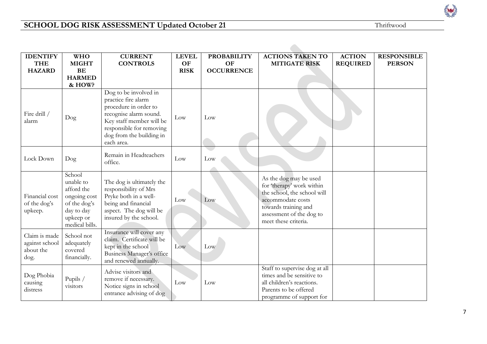Rev

| <b>IDENTIFY</b><br><b>THE</b>                        | <b>WHO</b><br><b>MIGHT</b>                                                                                     | <b>CURRENT</b><br><b>CONTROLS</b>                                                                                                                                                                 | <b>LEVEL</b><br>OF | <b>PROBABILITY</b><br><b>OF</b> | <b>ACTIONS TAKEN TO</b><br><b>MITIGATE RISK</b>                                                                                                                                     | <b>ACTION</b><br><b>REQUIRED</b> | <b>RESPONSIBLE</b><br><b>PERSON</b> |
|------------------------------------------------------|----------------------------------------------------------------------------------------------------------------|---------------------------------------------------------------------------------------------------------------------------------------------------------------------------------------------------|--------------------|---------------------------------|-------------------------------------------------------------------------------------------------------------------------------------------------------------------------------------|----------------------------------|-------------------------------------|
| <b>HAZARD</b>                                        | BE<br><b>HARMED</b>                                                                                            |                                                                                                                                                                                                   | <b>RISK</b>        | <b>OCCURRENCE</b>               |                                                                                                                                                                                     |                                  |                                     |
|                                                      | & HOW?                                                                                                         |                                                                                                                                                                                                   |                    |                                 |                                                                                                                                                                                     |                                  |                                     |
| Fire drill /<br>alarm                                | Dog                                                                                                            | Dog to be involved in<br>practice fire alarm<br>procedure in order to<br>recognise alarm sound.<br>Key staff member will be<br>responsible for removing<br>dog from the building in<br>each area. | Low                | Low                             |                                                                                                                                                                                     |                                  |                                     |
| Lock Down                                            | $\log$                                                                                                         | Remain in Headteachers<br>office.                                                                                                                                                                 | Low                | Low                             |                                                                                                                                                                                     |                                  |                                     |
| Financial cost<br>of the dog's<br>upkeep.            | School<br>unable to<br>afford the<br>ongoing cost<br>of the dog's<br>day to day<br>upkeep or<br>medical bills. | The dog is ultimately the<br>responsibility of Mrs<br>Pryke both in a well-<br>being and financial<br>aspect. The dog will be<br>insured by the school.                                           | Low                | Low                             | As the dog may be used<br>for 'therapy' work within<br>the school, the school will<br>accommodate costs<br>towards training and<br>assessment of the dog to<br>meet these criteria. |                                  |                                     |
| Claim is made<br>against school<br>about the<br>dog. | School not<br>adequately<br>covered<br>financially.                                                            | Insurance will cover any<br>claim. Certificate will be<br>kept in the school<br>Business Manager's office<br>and renewed annually.                                                                | Low                | Low                             |                                                                                                                                                                                     |                                  |                                     |
| Dog Phobia<br>causing<br>distress                    | Pupils /<br>visitors                                                                                           | Advise visitors and<br>remove if necessary.<br>Notice signs in school<br>entrance advising of dog                                                                                                 | Low                | Low                             | Staff to supervise dog at all<br>times and be sensitive to<br>all children's reactions.<br>Parents to be offered<br>programme of support for                                        |                                  |                                     |